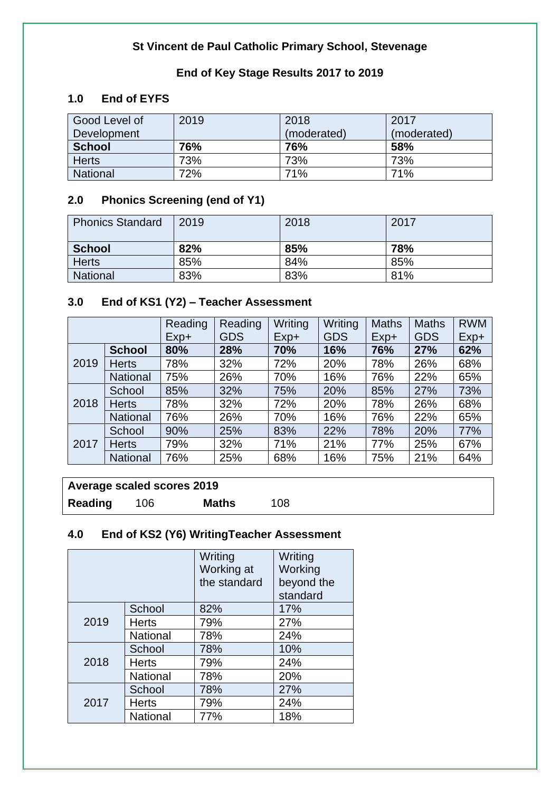### **St Vincent de Paul Catholic Primary School, Stevenage**

### **End of Key Stage Results 2017 to 2019**

### **1.0 End of EYFS**

| Good Level of   | 2019 | 2018        | 2017        |
|-----------------|------|-------------|-------------|
| Development     |      | (moderated) | (moderated) |
| <b>School</b>   | 76%  | 76%         | 58%         |
| <b>Herts</b>    | 73%  | 73%         | 73%         |
| <b>National</b> | 72%  | 71%         | 71%         |

#### **2.0 Phonics Screening (end of Y1)**

| <b>Phonics Standard</b> | 2019 | 2018 | 2017 |
|-------------------------|------|------|------|
| <b>School</b>           | 82%  | 85%  | 78%  |
| <b>Herts</b>            | 85%  | 84%  | 85%  |
| <b>National</b>         | 83%  | 83%  | 81%  |

## **3.0 End of KS1 (Y2) – Teacher Assessment**

|      |                 | Reading | Reading    | Writing | Writing    | <b>Maths</b> | <b>Maths</b> | <b>RWM</b> |
|------|-----------------|---------|------------|---------|------------|--------------|--------------|------------|
|      |                 | $Exp+$  | <b>GDS</b> | $Exp+$  | <b>GDS</b> | $Exp+$       | <b>GDS</b>   | Exp+       |
|      | <b>School</b>   | 80%     | 28%        | 70%     | 16%        | 76%          | 27%          | 62%        |
| 2019 | <b>Herts</b>    | 78%     | 32%        | 72%     | 20%        | 78%          | 26%          | 68%        |
|      | <b>National</b> | 75%     | 26%        | 70%     | 16%        | 76%          | 22%          | 65%        |
| 2018 | School          | 85%     | 32%        | 75%     | 20%        | 85%          | 27%          | 73%        |
|      | <b>Herts</b>    | 78%     | 32%        | 72%     | 20%        | 78%          | 26%          | 68%        |
|      | <b>National</b> | 76%     | 26%        | 70%     | 16%        | 76%          | 22%          | 65%        |
|      | School          | 90%     | 25%        | 83%     | 22%        | 78%          | 20%          | 77%        |
| 2017 | <b>Herts</b>    | 79%     | 32%        | 71%     | 21%        | 77%          | 25%          | 67%        |
|      | <b>National</b> | 76%     | 25%        | 68%     | 16%        | 75%          | 21%          | 64%        |

## **Average scaled scores 2019**

**Reading** 106 **Maths** 108

# **4.0 End of KS2 (Y6) WritingTeacher Assessment**

|      |                 | Writing      | Writing    |
|------|-----------------|--------------|------------|
|      |                 | Working at   | Working    |
|      |                 | the standard | beyond the |
|      |                 |              | standard   |
|      | School          | 82%          | 17%        |
| 2019 | <b>Herts</b>    | 79%          | 27%        |
|      | <b>National</b> | 78%          | 24%        |
| 2018 | School          | 78%          | 10%        |
|      | <b>Herts</b>    | 79%          | 24%        |
|      | <b>National</b> | 78%          | 20%        |
| 2017 | School          | 78%          | 27%        |
|      | <b>Herts</b>    | 79%          | 24%        |
|      | National        | 77%          | 18%        |